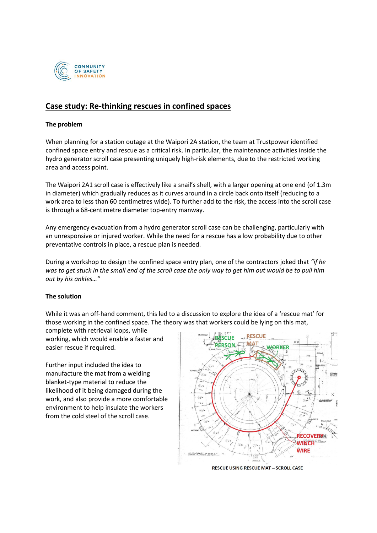

# **Case study: Re-thinking rescues in confined spaces**

### **The problem**

When planning for a station outage at the Waipori 2A station, the team at Trustpower identified confined space entry and rescue as a critical risk. In particular, the maintenance activities inside the hydro generator scroll case presenting uniquely high-risk elements, due to the restricted working area and access point.

The Waipori 2A1 scroll case is effectively like a snail's shell, with a larger opening at one end (of 1.3m in diameter) which gradually reduces as it curves around in a circle back onto itself (reducing to a work area to less than 60 centimetres wide). To further add to the risk, the access into the scroll case is through a 68-centimetre diameter top-entry manway.

Any emergency evacuation from a hydro generator scroll case can be challenging, particularly with an unresponsive or injured worker. While the need for a rescue has a low probability due to other preventative controls in place, a rescue plan is needed.

During a workshop to design the confined space entry plan, one of the contractors joked that *"if he was to get stuck in the small end of the scroll case the only way to get him out would be to pull him out by his ankles…"*

### **The solution**

While it was an off-hand comment, this led to a discussion to explore the idea of a 'rescue mat' for those working in the confined space. The theory was that workers could be lying on this mat,

complete with retrieval loops, while working, which would enable a faster and easier rescue if required.

Further input included the idea to manufacture the mat from a welding blanket-type material to reduce the likelihood of it being damaged during the work, and also provide a more comfortable environment to help insulate the workers from the cold steel of the scroll case.



**RESCUE USING RESCUE MAT - SCROLL CASE**